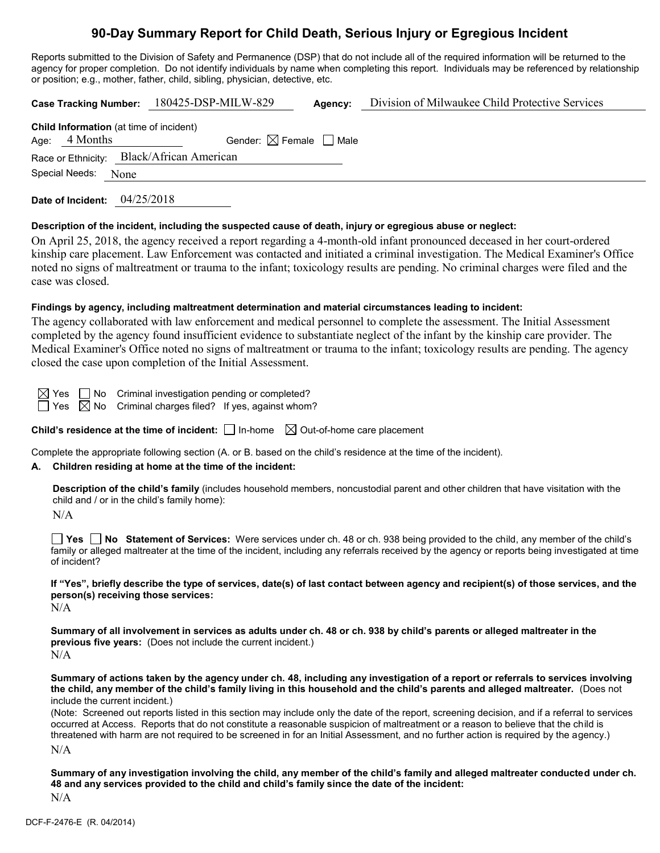# **90-Day Summary Report for Child Death, Serious Injury or Egregious Incident**

Reports submitted to the Division of Safety and Permanence (DSP) that do not include all of the required information will be returned to the agency for proper completion. Do not identify individuals by name when completing this report. Individuals may be referenced by relationship or position; e.g., mother, father, child, sibling, physician, detective, etc.

|                                                                   | Case Tracking Number: 180425-DSP-MILW-829 | Agency: | Division of Milwaukee Child Protective Services |
|-------------------------------------------------------------------|-------------------------------------------|---------|-------------------------------------------------|
| <b>Child Information</b> (at time of incident)<br>Age: $4$ Months | Gender: $\boxtimes$ Female $\Box$ Male    |         |                                                 |
| Race or Ethnicity: Black/African American                         |                                           |         |                                                 |
| Special Needs:<br>None                                            |                                           |         |                                                 |
|                                                                   |                                           |         |                                                 |

**Date of Incident:** 04/25/2018

## **Description of the incident, including the suspected cause of death, injury or egregious abuse or neglect:**

On April 25, 2018, the agency received a report regarding a 4-month-old infant pronounced deceased in her court-ordered kinship care placement. Law Enforcement was contacted and initiated a criminal investigation. The Medical Examiner's Office noted no signs of maltreatment or trauma to the infant; toxicology results are pending. No criminal charges were filed and the case was closed.

#### **Findings by agency, including maltreatment determination and material circumstances leading to incident:**

The agency collaborated with law enforcement and medical personnel to complete the assessment. The Initial Assessment completed by the agency found insufficient evidence to substantiate neglect of the infant by the kinship care provider. The Medical Examiner's Office noted no signs of maltreatment or trauma to the infant; toxicology results are pending. The agency closed the case upon completion of the Initial Assessment.

 $\boxtimes$  Yes  $\Box$  No Criminal investigation pending or completed?

 $\Box$  Yes  $\boxtimes$  No Criminal charges filed? If yes, against whom?

**Child's residence at the time of incident:**  $\Box$  In-home  $\Box$  Out-of-home care placement

Complete the appropriate following section (A. or B. based on the child's residence at the time of the incident).

## **A. Children residing at home at the time of the incident:**

**Description of the child's family** (includes household members, noncustodial parent and other children that have visitation with the child and / or in the child's family home):

 $N/A$ 

**Yes No Statement of Services:** Were services under ch. 48 or ch. 938 being provided to the child, any member of the child's family or alleged maltreater at the time of the incident, including any referrals received by the agency or reports being investigated at time of incident?

**If "Yes", briefly describe the type of services, date(s) of last contact between agency and recipient(s) of those services, and the person(s) receiving those services:**

N/A

**Summary of all involvement in services as adults under ch. 48 or ch. 938 by child's parents or alleged maltreater in the previous five years:** (Does not include the current incident.)  $N/A$ 

**Summary of actions taken by the agency under ch. 48, including any investigation of a report or referrals to services involving the child, any member of the child's family living in this household and the child's parents and alleged maltreater.** (Does not include the current incident.)

(Note: Screened out reports listed in this section may include only the date of the report, screening decision, and if a referral to services occurred at Access. Reports that do not constitute a reasonable suspicion of maltreatment or a reason to believe that the child is threatened with harm are not required to be screened in for an Initial Assessment, and no further action is required by the agency.) N/A

**Summary of any investigation involving the child, any member of the child's family and alleged maltreater conducted under ch. 48 and any services provided to the child and child's family since the date of the incident:**  $N/A$